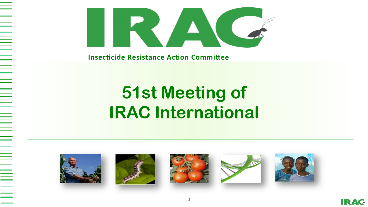



**Insecticide Resistance Action Committee** 

# **51st Meeting of IRAC International**



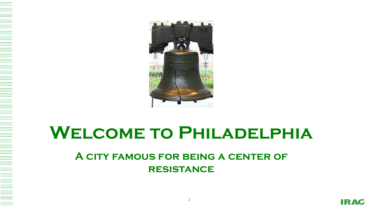

## **Welcome to Philadelphia**

#### **A city famous for being a center of resistance**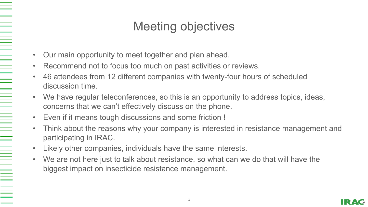#### Meeting objectives

- Our main opportunity to meet together and plan ahead.
- Recommend not to focus too much on past activities or reviews.
- 46 attendees from 12 different companies with twenty-four hours of scheduled discussion time.
- We have regular teleconferences, so this is an opportunity to address topics, ideas, concerns that we can't effectively discuss on the phone.
- Even if it means tough discussions and some friction !

- Think about the reasons why your company is interested in resistance management and participating in IRAC.
- Likely other companies, individuals have the same interests.
- We are not here just to talk about resistance, so what can we do that will have the biggest impact on insecticide resistance management.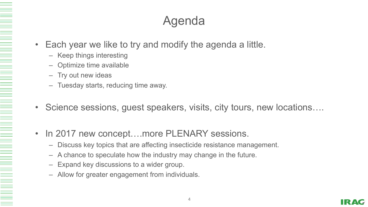#### Agenda

- Each year we like to try and modify the agenda a little.
	- Keep things interesting
	- Optimize time available
	- Try out new ideas

- Tuesday starts, reducing time away.
- Science sessions, guest speakers, visits, city tours, new locations….
- In 2017 new concept....more PLENARY sessions.
	- Discuss key topics that are affecting insecticide resistance management.
	- A chance to speculate how the industry may change in the future.
	- Expand key discussions to a wider group.
	- Allow for greater engagement from individuals.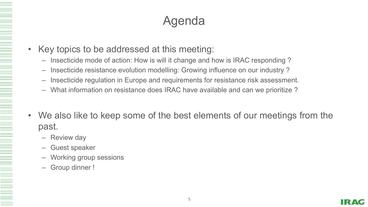#### Agenda

- Key topics to be addressed at this meeting:
	- Insecticide mode of action: How is will it change and how is IRAC responding ?
	- Insecticide resistance evolution modelling: Growing influence on our industry ?
	- Insecticide regulation in Europe and requirements for resistance risk assessment.
	- What information on resistance does IRAC have available and can we prioritize ?
- We also like to keep some of the best elements of our meetings from the past.
	- Review day
	- Guest speaker
	- Working group sessions
	- Group dinner !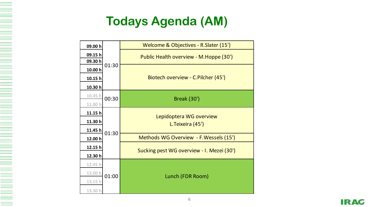## **Todays Agenda (AM)**

| 09.00 h            | 01:30 | Welcome & Objectives - R. Slater (15')      |
|--------------------|-------|---------------------------------------------|
| 09.15h<br>09.30 h  |       | Public Health overview - M. Hoppe (30')     |
| 10.00 h            |       | Biotech overview - C.Pilcher (45')          |
| 10.15 h            |       |                                             |
| 10.30 h            |       |                                             |
| 10.45 h<br>11.00 h | 00:30 | <b>Break (30')</b>                          |
| 11.15h             | 01:30 | Lepidoptera WG overview<br>L.Teixeira (45') |
| 11.30 h            |       |                                             |
| 11.45 h            |       |                                             |
| 12.00 h            |       | Methods WG Overview - F. Wessels (15')      |
| 12.15 h            |       | Sucking pest WG overview - I. Mezei (30')   |
| 12.30 h            |       |                                             |
| 12.45 h            | 01:00 | Lunch (FDR Room)                            |
| 13.00 h            |       |                                             |
| 13.15 h            |       |                                             |
| 13.30 h            |       |                                             |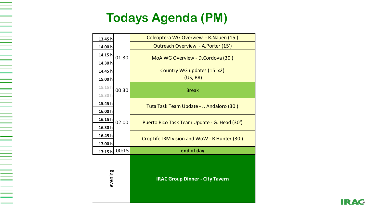#### **Todays Agenda (PM)**

| 13.45 h | 01:30 | Coleoptera WG Overview - R. Nauen (15')      |
|---------|-------|----------------------------------------------|
| 14.00 h |       | Outreach Overview - A.Porter (15')           |
| 14.15 h |       | MoA WG Overview - D.Cordova (30')            |
| 14.30 h |       |                                              |
| 14.45 h |       | Country WG updates (15'x2)                   |
| 15.00 h |       | (US, BR)                                     |
| 15.15 h | 00:30 | <b>Break</b>                                 |
| 15.30 h |       |                                              |
| 15.45 h | 02:00 | Tuta Task Team Update - J. Andaloro (30')    |
| 16.00 h |       |                                              |
| 16.15h  |       | Puerto Rico Task Team Update - G. Head (30') |
| 16.30 h |       |                                              |
| 16.45 h |       | CropLife IRM vision and WoW - R Hunter (30') |
| 17.00 h |       |                                              |
| 17:15 h | 00:15 | end of day                                   |
| evening |       | <b>IRAC Group Dinner - City Tavern</b>       |

**IRAC**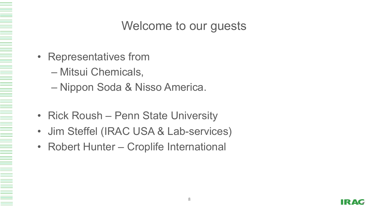#### Welcome to our guests

- Representatives from
	- Mitsui Chemicals,
	- Nippon Soda & Nisso America.
- Rick Roush Penn State University
- Jim Steffel (IRAC USA & Lab-services)
- Robert Hunter Croplife International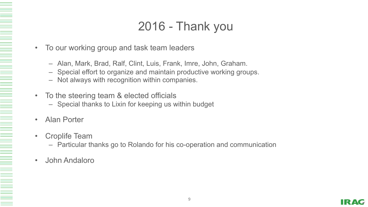#### 2016 - Thank you

- To our working group and task team leaders
	- Alan, Mark, Brad, Ralf, Clint, Luis, Frank, Imre, John, Graham.
	- Special effort to organize and maintain productive working groups.
	- Not always with recognition within companies.
- To the steering team & elected officials
	- Special thanks to Lixin for keeping us within budget
	- Alan Porter

- Croplife Team
	- Particular thanks go to Rolando for his co-operation and communication
- John Andaloro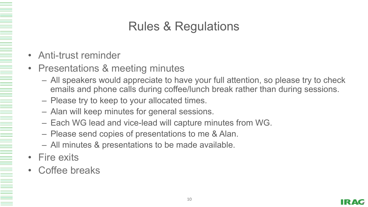## Rules & Regulations

- Anti-trust reminder
- Presentations & meeting minutes
	- All speakers would appreciate to have your full attention, so please try to check emails and phone calls during coffee/lunch break rather than during sessions.
	- Please try to keep to your allocated times.
	- Alan will keep minutes for general sessions.
	- Each WG lead and vice-lead will capture minutes from WG.
	- Please send copies of presentations to me & Alan.
	- All minutes & presentations to be made available.
- Fire exits

N HE WARD TO A SHIP WARD TO A SHIP WARD TO A SHIP WARD TO A SHIP WARD TO A SHIP WARD TO A SHIP WARD TO A SHIP WARD TO A SHIP WARD TO A SHIP WARD TO A SHIP WARD TO A SHIP WARD TO A SHIP WARD TO A SHIP WARD TO A SHIP WARD TO

• Coffee breaks